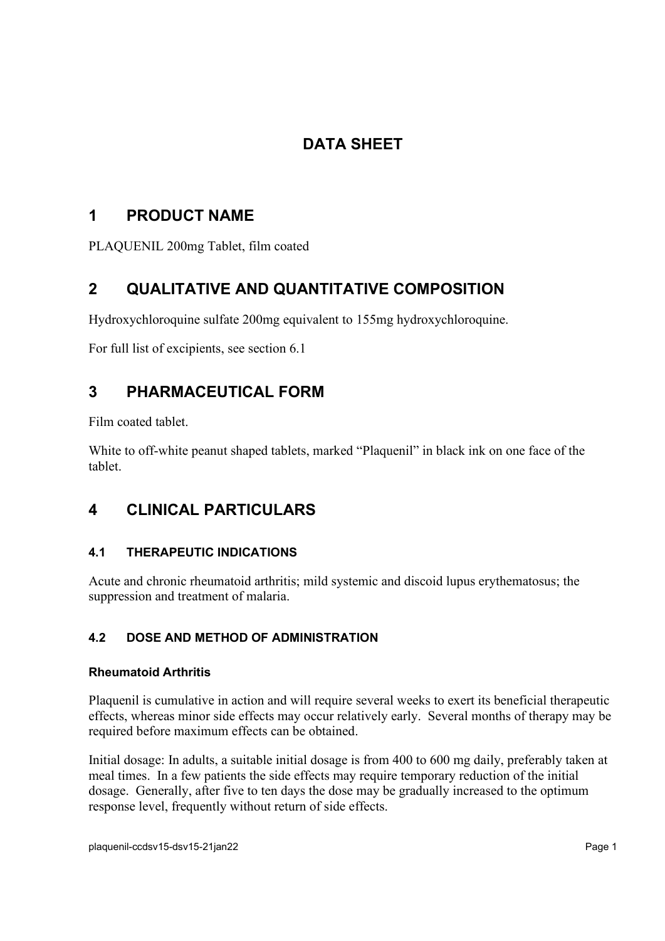# **DATA SHEET**

# **1 PRODUCT NAME**

PLAQUENIL 200mg Tablet, film coated

# **2 QUALITATIVE AND QUANTITATIVE COMPOSITION**

Hydroxychloroquine sulfate 200mg equivalent to 155mg hydroxychloroquine.

For full list of excipients, see section 6.1

# **3 PHARMACEUTICAL FORM**

Film coated tablet.

White to off-white peanut shaped tablets, marked "Plaquenil" in black ink on one face of the tablet.

# **4 CLINICAL PARTICULARS**

# **4.1 THERAPEUTIC INDICATIONS**

Acute and chronic rheumatoid arthritis; mild systemic and discoid lupus erythematosus; the suppression and treatment of malaria.

# **4.2 DOSE AND METHOD OF ADMINISTRATION**

# **Rheumatoid Arthritis**

Plaquenil is cumulative in action and will require several weeks to exert its beneficial therapeutic effects, whereas minor side effects may occur relatively early. Several months of therapy may be required before maximum effects can be obtained.

Initial dosage: In adults, a suitable initial dosage is from 400 to 600 mg daily, preferably taken at meal times. In a few patients the side effects may require temporary reduction of the initial dosage. Generally, after five to ten days the dose may be gradually increased to the optimum response level, frequently without return of side effects.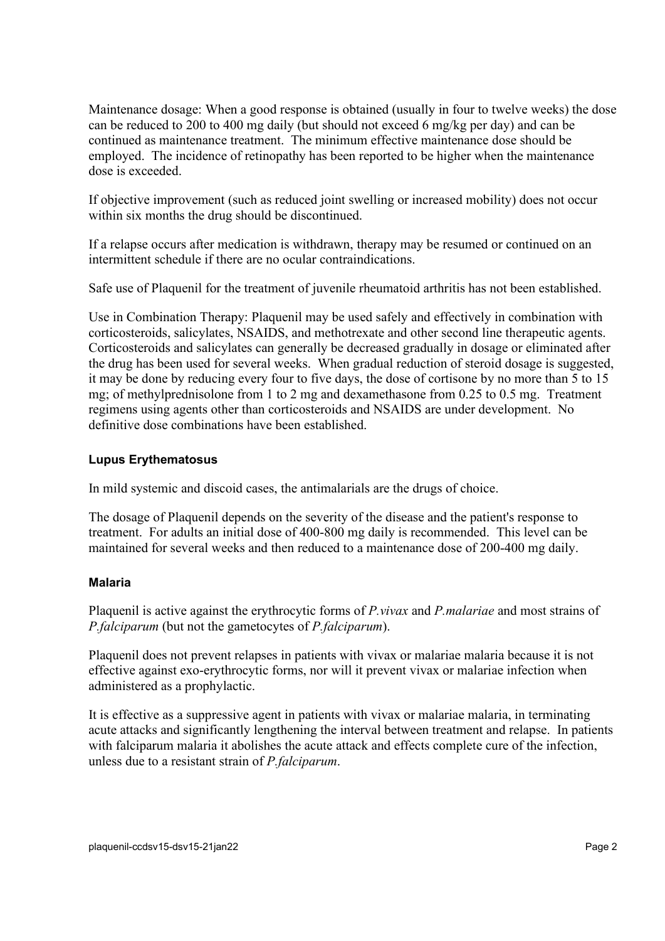Maintenance dosage: When a good response is obtained (usually in four to twelve weeks) the dose can be reduced to 200 to 400 mg daily (but should not exceed 6 mg/kg per day) and can be continued as maintenance treatment. The minimum effective maintenance dose should be employed. The incidence of retinopathy has been reported to be higher when the maintenance dose is exceeded.

If objective improvement (such as reduced joint swelling or increased mobility) does not occur within six months the drug should be discontinued.

If a relapse occurs after medication is withdrawn, therapy may be resumed or continued on an intermittent schedule if there are no ocular contraindications.

Safe use of Plaquenil for the treatment of juvenile rheumatoid arthritis has not been established.

Use in Combination Therapy: Plaquenil may be used safely and effectively in combination with corticosteroids, salicylates, NSAIDS, and methotrexate and other second line therapeutic agents. Corticosteroids and salicylates can generally be decreased gradually in dosage or eliminated after the drug has been used for several weeks. When gradual reduction of steroid dosage is suggested, it may be done by reducing every four to five days, the dose of cortisone by no more than 5 to 15 mg; of methylprednisolone from 1 to 2 mg and dexamethasone from 0.25 to 0.5 mg. Treatment regimens using agents other than corticosteroids and NSAIDS are under development. No definitive dose combinations have been established.

### **Lupus Erythematosus**

In mild systemic and discoid cases, the antimalarials are the drugs of choice.

The dosage of Plaquenil depends on the severity of the disease and the patient's response to treatment. For adults an initial dose of 400-800 mg daily is recommended. This level can be maintained for several weeks and then reduced to a maintenance dose of 200-400 mg daily.

# **Malaria**

Plaquenil is active against the erythrocytic forms of *P.vivax* and *P.malariae* and most strains of *P.falciparum* (but not the gametocytes of *P.falciparum*).

Plaquenil does not prevent relapses in patients with vivax or malariae malaria because it is not effective against exo-erythrocytic forms, nor will it prevent vivax or malariae infection when administered as a prophylactic.

It is effective as a suppressive agent in patients with vivax or malariae malaria, in terminating acute attacks and significantly lengthening the interval between treatment and relapse. In patients with falciparum malaria it abolishes the acute attack and effects complete cure of the infection, unless due to a resistant strain of *P.falciparum*.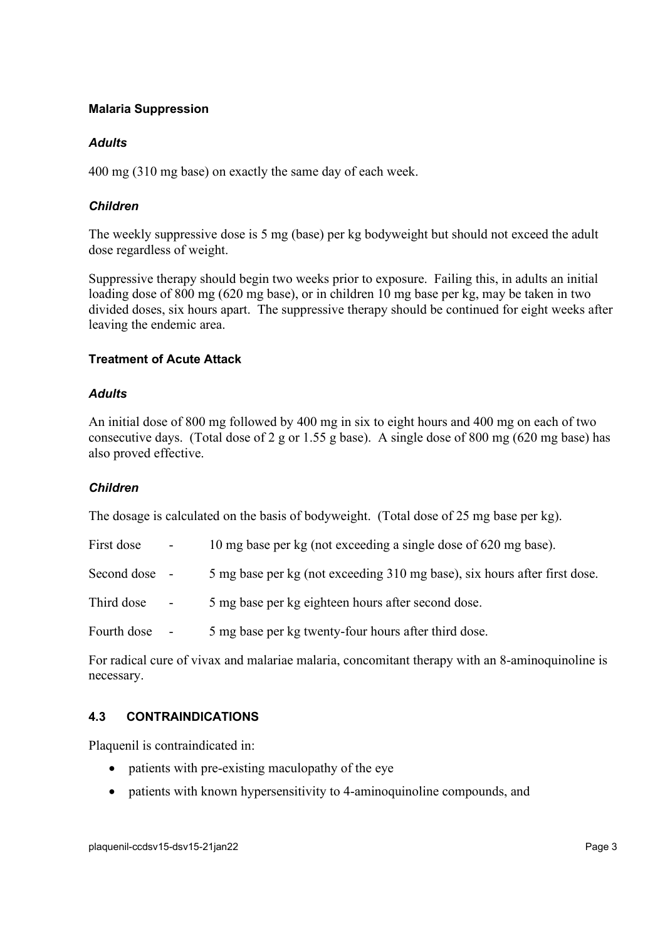### **Malaria Suppression**

### *Adults*

400 mg (310 mg base) on exactly the same day of each week.

## *Children*

The weekly suppressive dose is 5 mg (base) per kg bodyweight but should not exceed the adult dose regardless of weight.

Suppressive therapy should begin two weeks prior to exposure. Failing this, in adults an initial loading dose of 800 mg (620 mg base), or in children 10 mg base per kg, may be taken in two divided doses, six hours apart. The suppressive therapy should be continued for eight weeks after leaving the endemic area.

### **Treatment of Acute Attack**

### *Adults*

An initial dose of 800 mg followed by 400 mg in six to eight hours and 400 mg on each of two consecutive days. (Total dose of 2 g or 1.55 g base). A single dose of 800 mg (620 mg base) has also proved effective.

# *Children*

The dosage is calculated on the basis of bodyweight. (Total dose of 25 mg base per kg).

| First dose    | $\sim$                   | 10 mg base per kg (not exceeding a single dose of 620 mg base).           |
|---------------|--------------------------|---------------------------------------------------------------------------|
| Second dose - |                          | 5 mg base per kg (not exceeding 310 mg base), six hours after first dose. |
| Third dose    | $\blacksquare$           | 5 mg base per kg eighteen hours after second dose.                        |
| Fourth dose   | $\overline{\phantom{a}}$ | 5 mg base per kg twenty-four hours after third dose.                      |

For radical cure of vivax and malariae malaria, concomitant therapy with an 8-aminoquinoline is necessary.

# **4.3 CONTRAINDICATIONS**

Plaquenil is contraindicated in:

- patients with pre-existing maculopathy of the eye
- patients with known hypersensitivity to 4-aminoquinoline compounds, and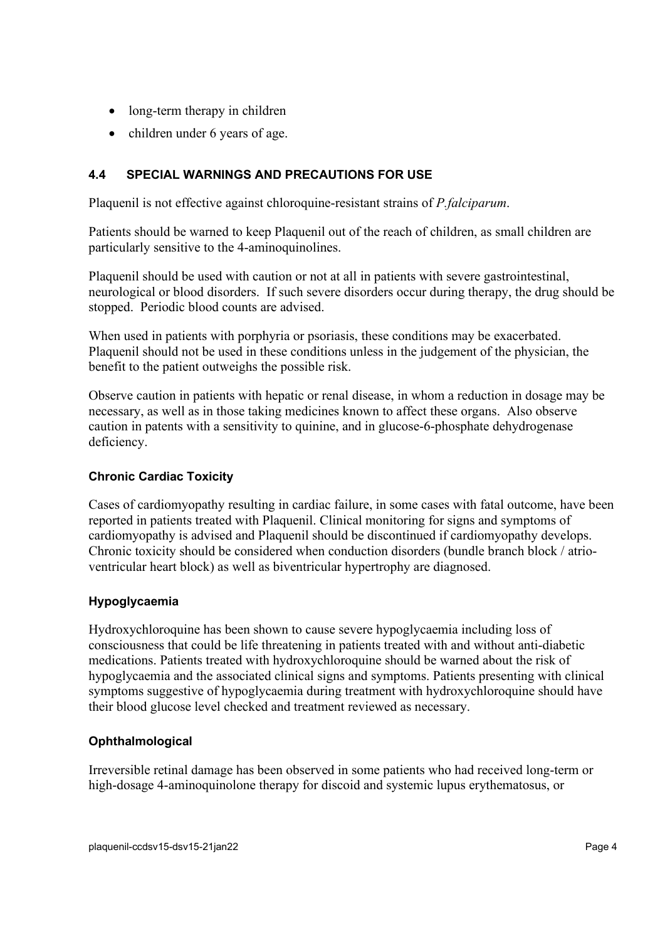- long-term therapy in children
- children under 6 years of age.

# <span id="page-3-0"></span>**4.4 SPECIAL WARNINGS AND PRECAUTIONS FOR USE**

Plaquenil is not effective against chloroquine-resistant strains of *P.falciparum*.

Patients should be warned to keep Plaquenil out of the reach of children, as small children are particularly sensitive to the 4-aminoquinolines.

Plaquenil should be used with caution or not at all in patients with severe gastrointestinal, neurological or blood disorders. If such severe disorders occur during therapy, the drug should be stopped. Periodic blood counts are advised.

When used in patients with porphyria or psoriasis, these conditions may be exacerbated. Plaquenil should not be used in these conditions unless in the judgement of the physician, the benefit to the patient outweighs the possible risk.

Observe caution in patients with hepatic or renal disease, in whom a reduction in dosage may be necessary, as well as in those taking medicines known to affect these organs. Also observe caution in patents with a sensitivity to quinine, and in glucose-6-phosphate dehydrogenase deficiency.

# **Chronic Cardiac Toxicity**

Cases of cardiomyopathy resulting in cardiac failure, in some cases with fatal outcome, have been reported in patients treated with Plaquenil. Clinical monitoring for signs and symptoms of cardiomyopathy is advised and Plaquenil should be discontinued if cardiomyopathy develops. Chronic toxicity should be considered when conduction disorders (bundle branch block / atrioventricular heart block) as well as biventricular hypertrophy are diagnosed.

# **Hypoglycaemia**

Hydroxychloroquine has been shown to cause severe hypoglycaemia including loss of consciousness that could be life threatening in patients treated with and without anti-diabetic medications. Patients treated with hydroxychloroquine should be warned about the risk of hypoglycaemia and the associated clinical signs and symptoms. Patients presenting with clinical symptoms suggestive of hypoglycaemia during treatment with hydroxychloroquine should have their blood glucose level checked and treatment reviewed as necessary.

# **Ophthalmological**

Irreversible retinal damage has been observed in some patients who had received long-term or high-dosage 4-aminoquinolone therapy for discoid and systemic lupus erythematosus, or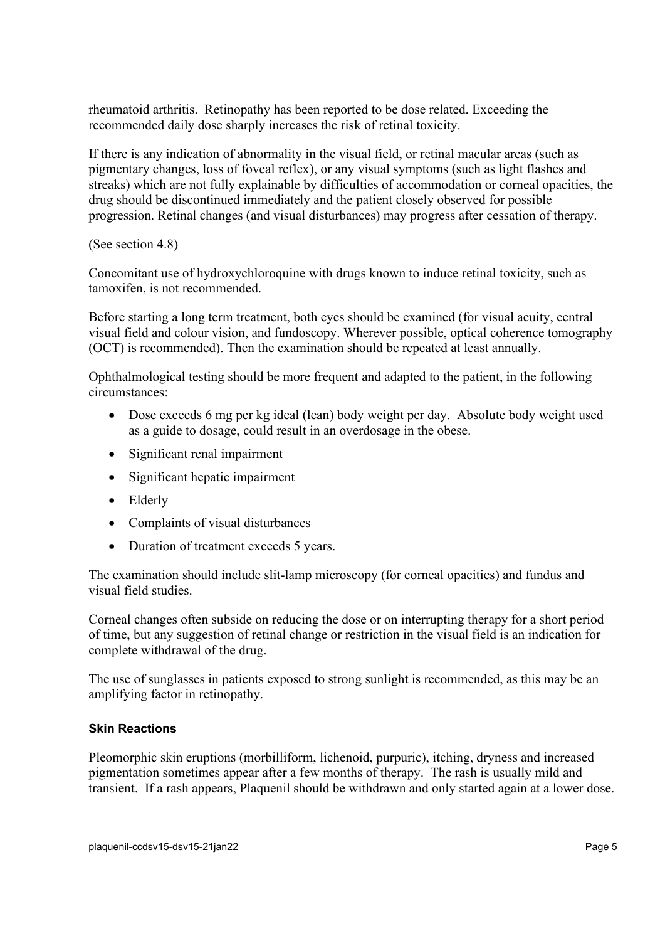rheumatoid arthritis. Retinopathy has been reported to be dose related. Exceeding the recommended daily dose sharply increases the risk of retinal toxicity.

If there is any indication of abnormality in the visual field, or retinal macular areas (such as pigmentary changes, loss of foveal reflex), or any visual symptoms (such as light flashes and streaks) which are not fully explainable by difficulties of accommodation or corneal opacities, the drug should be discontinued immediately and the patient closely observed for possible progression. Retinal changes (and visual disturbances) may progress after cessation of therapy.

(See section 4.8)

Concomitant use of hydroxychloroquine with drugs known to induce retinal toxicity, such as tamoxifen, is not recommended.

Before starting a long term treatment, both eyes should be examined (for visual acuity, central visual field and colour vision, and fundoscopy. Wherever possible, optical coherence tomography (OCT) is recommended). Then the examination should be repeated at least annually.

Ophthalmological testing should be more frequent and adapted to the patient, in the following circumstances:

- Dose exceeds 6 mg per kg ideal (lean) body weight per day. Absolute body weight used as a guide to dosage, could result in an overdosage in the obese.
- Significant renal impairment
- Significant hepatic impairment
- Elderly
- Complaints of visual disturbances
- Duration of treatment exceeds 5 years.

The examination should include slit-lamp microscopy (for corneal opacities) and fundus and visual field studies.

Corneal changes often subside on reducing the dose or on interrupting therapy for a short period of time, but any suggestion of retinal change or restriction in the visual field is an indication for complete withdrawal of the drug.

The use of sunglasses in patients exposed to strong sunlight is recommended, as this may be an amplifying factor in retinopathy.

# **Skin Reactions**

Pleomorphic skin eruptions (morbilliform, lichenoid, purpuric), itching, dryness and increased pigmentation sometimes appear after a few months of therapy. The rash is usually mild and transient. If a rash appears, Plaquenil should be withdrawn and only started again at a lower dose.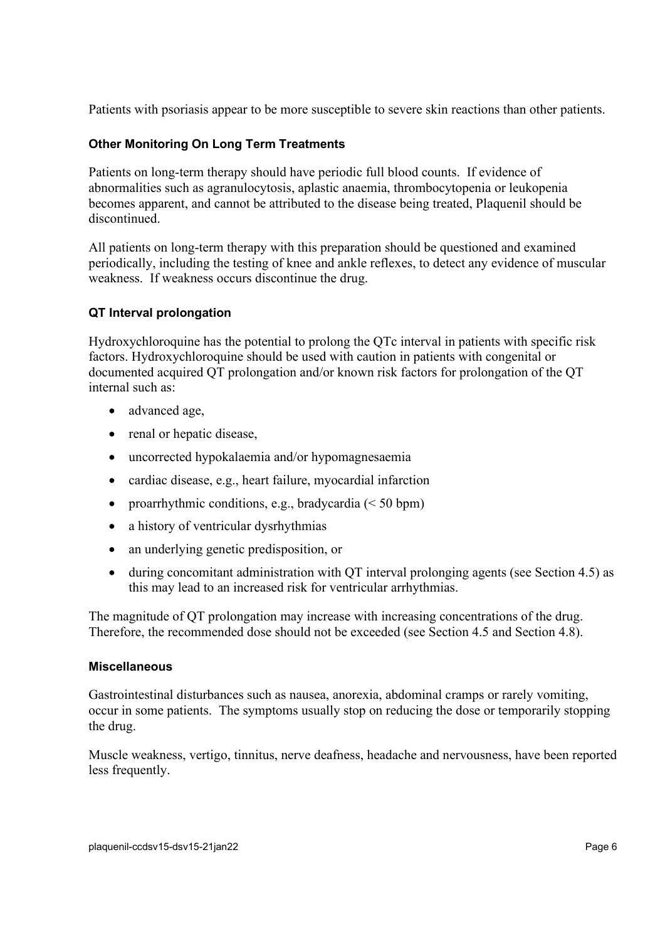Patients with psoriasis appear to be more susceptible to severe skin reactions than other patients.

# **Other Monitoring On Long Term Treatments**

Patients on long-term therapy should have periodic full blood counts. If evidence of abnormalities such as agranulocytosis, aplastic anaemia, thrombocytopenia or leukopenia becomes apparent, and cannot be attributed to the disease being treated, Plaquenil should be discontinued.

All patients on long-term therapy with this preparation should be questioned and examined periodically, including the testing of knee and ankle reflexes, to detect any evidence of muscular weakness. If weakness occurs discontinue the drug.

### **QT Interval prolongation**

Hydroxychloroquine has the potential to prolong the QTc interval in patients with specific risk factors. Hydroxychloroquine should be used with caution in patients with congenital or documented acquired QT prolongation and/or known risk factors for prolongation of the QT internal such as:

- advanced age,
- renal or hepatic disease,
- uncorrected hypokalaemia and/or hypomagnesaemia
- cardiac disease, e.g., heart failure, myocardial infarction
- proarrhythmic conditions, e.g., bradycardia  $(< 50$  bpm)
- a history of ventricular dysrhythmias
- an underlying genetic predisposition, or
- during concomitant administration with QT interval prolonging agents (see Section [4.5\)](#page-6-0) as this may lead to an increased risk for ventricular arrhythmias.

The magnitude of QT prolongation may increase with increasing concentrations of the drug. Therefore, the recommended dose should not be exceeded (see Section [4.5](#page-6-0) and Section [4.8\)](#page-9-0).

### **Miscellaneous**

Gastrointestinal disturbances such as nausea, anorexia, abdominal cramps or rarely vomiting, occur in some patients. The symptoms usually stop on reducing the dose or temporarily stopping the drug.

Muscle weakness, vertigo, tinnitus, nerve deafness, headache and nervousness, have been reported less frequently.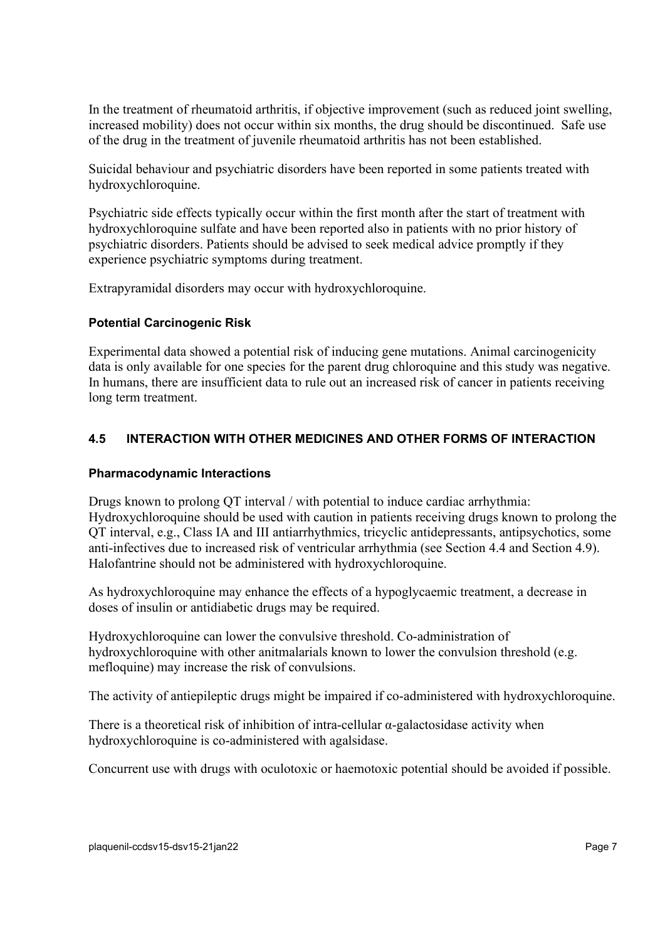In the treatment of rheumatoid arthritis, if objective improvement (such as reduced joint swelling, increased mobility) does not occur within six months, the drug should be discontinued. Safe use of the drug in the treatment of juvenile rheumatoid arthritis has not been established.

Suicidal behaviour and psychiatric disorders have been reported in some patients treated with hydroxychloroquine.

Psychiatric side effects typically occur within the first month after the start of treatment with hydroxychloroquine sulfate and have been reported also in patients with no prior history of psychiatric disorders. Patients should be advised to seek medical advice promptly if they experience psychiatric symptoms during treatment.

Extrapyramidal disorders may occur with hydroxychloroquine.

### **Potential Carcinogenic Risk**

Experimental data showed a potential risk of inducing gene mutations. Animal carcinogenicity data is only available for one species for the parent drug chloroquine and this study was negative. In humans, there are insufficient data to rule out an increased risk of cancer in patients receiving long term treatment.

# <span id="page-6-0"></span>**4.5 INTERACTION WITH OTHER MEDICINES AND OTHER FORMS OF INTERACTION**

### **Pharmacodynamic Interactions**

Drugs known to prolong QT interval / with potential to induce cardiac arrhythmia: Hydroxychloroquine should be used with caution in patients receiving drugs known to prolong the QT interval, e.g., Class IA and III antiarrhythmics, tricyclic antidepressants, antipsychotics, some anti-infectives due to increased risk of ventricular arrhythmia (see Section [4.4](#page-3-0) and Section 4.9). Halofantrine should not be administered with hydroxychloroquine.

As hydroxychloroquine may enhance the effects of a hypoglycaemic treatment, a decrease in doses of insulin or antidiabetic drugs may be required.

Hydroxychloroquine can lower the convulsive threshold. Co-administration of hydroxychloroquine with other anitmalarials known to lower the convulsion threshold (e.g. mefloquine) may increase the risk of convulsions.

The activity of antiepileptic drugs might be impaired if co-administered with hydroxychloroquine.

There is a theoretical risk of inhibition of intra-cellular  $\alpha$ -galactosidase activity when hydroxychloroquine is co-administered with agalsidase.

Concurrent use with drugs with oculotoxic or haemotoxic potential should be avoided if possible.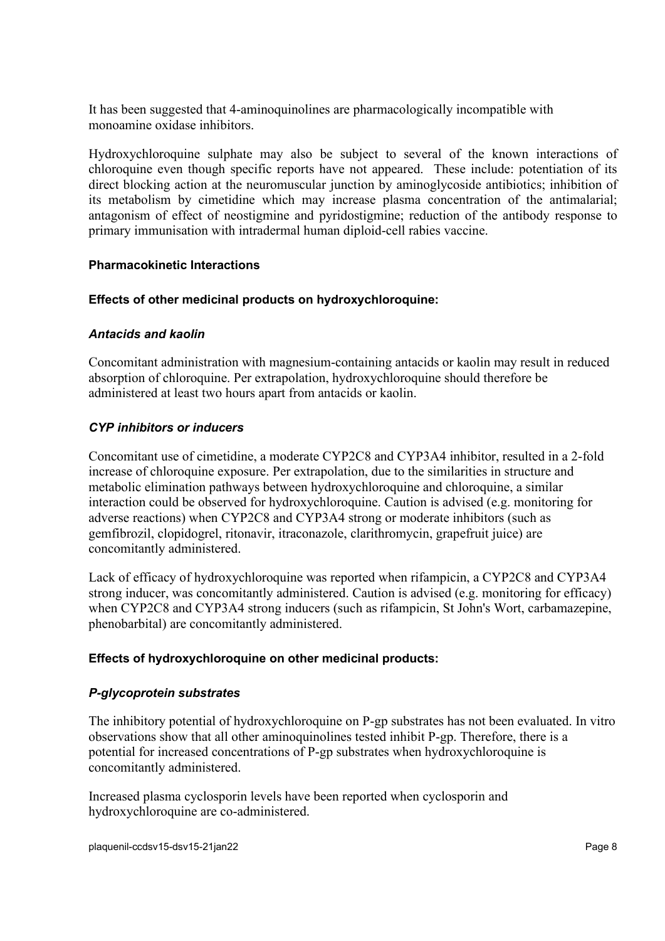It has been suggested that 4-aminoquinolines are pharmacologically incompatible with monoamine oxidase inhibitors.

Hydroxychloroquine sulphate may also be subject to several of the known interactions of chloroquine even though specific reports have not appeared. These include: potentiation of its direct blocking action at the neuromuscular junction by aminoglycoside antibiotics; inhibition of its metabolism by cimetidine which may increase plasma concentration of the antimalarial; antagonism of effect of neostigmine and pyridostigmine; reduction of the antibody response to primary immunisation with intradermal human diploid-cell rabies vaccine.

### **Pharmacokinetic Interactions**

### **Effects of other medicinal products on hydroxychloroquine:**

### *Antacids and kaolin*

Concomitant administration with magnesium-containing antacids or kaolin may result in reduced absorption of chloroquine. Per extrapolation, hydroxychloroquine should therefore be administered at least two hours apart from antacids or kaolin.

# *CYP inhibitors or inducers*

Concomitant use of cimetidine, a moderate CYP2C8 and CYP3A4 inhibitor, resulted in a 2-fold increase of chloroquine exposure. Per extrapolation, due to the similarities in structure and metabolic elimination pathways between hydroxychloroquine and chloroquine, a similar interaction could be observed for hydroxychloroquine. Caution is advised (e.g. monitoring for adverse reactions) when CYP2C8 and CYP3A4 strong or moderate inhibitors (such as gemfibrozil, clopidogrel, ritonavir, itraconazole, clarithromycin, grapefruit juice) are concomitantly administered.

Lack of efficacy of hydroxychloroquine was reported when rifampicin, a CYP2C8 and CYP3A4 strong inducer, was concomitantly administered. Caution is advised (e.g. monitoring for efficacy) when CYP2C8 and CYP3A4 strong inducers (such as rifampicin, St John's Wort, carbamazepine, phenobarbital) are concomitantly administered.

### **Effects of hydroxychloroquine on other medicinal products:**

### *P-glycoprotein substrates*

The inhibitory potential of hydroxychloroquine on P-gp substrates has not been evaluated. In vitro observations show that all other aminoquinolines tested inhibit P-gp. Therefore, there is a potential for increased concentrations of P-gp substrates when hydroxychloroquine is concomitantly administered.

Increased plasma cyclosporin levels have been reported when cyclosporin and hydroxychloroquine are co-administered.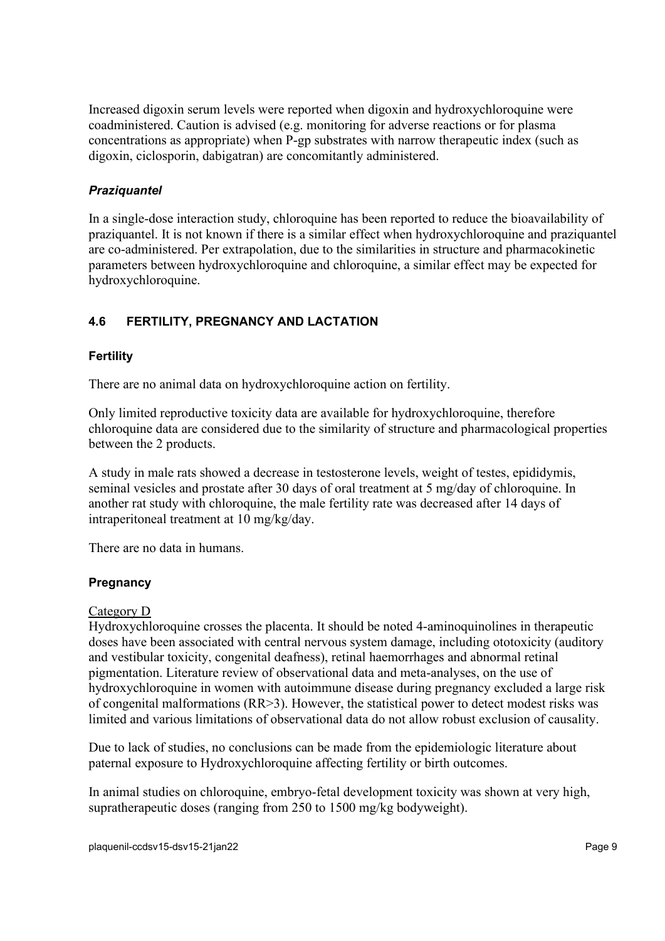Increased digoxin serum levels were reported when digoxin and hydroxychloroquine were coadministered. Caution is advised (e.g. monitoring for adverse reactions or for plasma concentrations as appropriate) when P-gp substrates with narrow therapeutic index (such as digoxin, ciclosporin, dabigatran) are concomitantly administered.

# *Praziquantel*

In a single-dose interaction study, chloroquine has been reported to reduce the bioavailability of praziquantel. It is not known if there is a similar effect when hydroxychloroquine and praziquantel are co-administered. Per extrapolation, due to the similarities in structure and pharmacokinetic parameters between hydroxychloroquine and chloroquine, a similar effect may be expected for hydroxychloroquine.

# **4.6 FERTILITY, PREGNANCY AND LACTATION**

# **Fertility**

There are no animal data on hydroxychloroquine action on fertility.

Only limited reproductive toxicity data are available for hydroxychloroquine, therefore chloroquine data are considered due to the similarity of structure and pharmacological properties between the 2 products.

A study in male rats showed a decrease in testosterone levels, weight of testes, epididymis, seminal vesicles and prostate after 30 days of oral treatment at 5 mg/day of chloroquine. In another rat study with chloroquine, the male fertility rate was decreased after 14 days of intraperitoneal treatment at 10 mg/kg/day.

There are no data in humans.

# **Pregnancy**

### Category D

Hydroxychloroquine crosses the placenta. It should be noted 4-aminoquinolines in therapeutic doses have been associated with central nervous system damage, including ototoxicity (auditory and vestibular toxicity, congenital deafness), retinal haemorrhages and abnormal retinal pigmentation. Literature review of observational data and meta-analyses, on the use of hydroxychloroquine in women with autoimmune disease during pregnancy excluded a large risk of congenital malformations (RR>3). However, the statistical power to detect modest risks was limited and various limitations of observational data do not allow robust exclusion of causality.

Due to lack of studies, no conclusions can be made from the epidemiologic literature about paternal exposure to Hydroxychloroquine affecting fertility or birth outcomes.

In animal studies on chloroquine, embryo-fetal development toxicity was shown at very high, supratherapeutic doses (ranging from 250 to 1500 mg/kg bodyweight).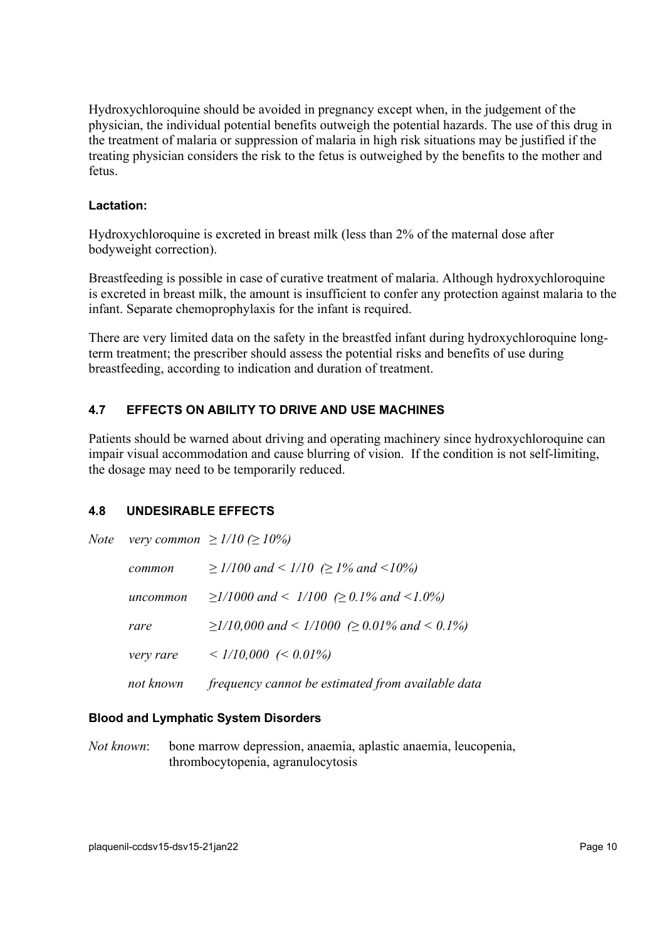Hydroxychloroquine should be avoided in pregnancy except when, in the judgement of the physician, the individual potential benefits outweigh the potential hazards. The use of this drug in the treatment of malaria or suppression of malaria in high risk situations may be justified if the treating physician considers the risk to the fetus is outweighed by the benefits to the mother and fetus.

### **Lactation:**

Hydroxychloroquine is excreted in breast milk (less than 2% of the maternal dose after bodyweight correction).

Breastfeeding is possible in case of curative treatment of malaria. Although hydroxychloroquine is excreted in breast milk, the amount is insufficient to confer any protection against malaria to the infant. Separate chemoprophylaxis for the infant is required.

There are very limited data on the safety in the breastfed infant during hydroxychloroquine longterm treatment; the prescriber should assess the potential risks and benefits of use during breastfeeding, according to indication and duration of treatment.

# **4.7 EFFECTS ON ABILITY TO DRIVE AND USE MACHINES**

Patients should be warned about driving and operating machinery since hydroxychloroquine can impair visual accommodation and cause blurring of vision. If the condition is not self-limiting, the dosage may need to be temporarily reduced.

# <span id="page-9-0"></span>**4.8 UNDESIRABLE EFFECTS**

|           | Note very common $\geq 1/10 \approx 10\%$               |
|-----------|---------------------------------------------------------|
| common    | $\geq$ 1/100 and < 1/10 ( $\geq$ 1% and <10%)           |
| uncommon  | $\geq$ 1/1000 and < 1/100 ( $\geq$ 0.1% and <1.0%)      |
| rare      | $\geq$ 1/10,000 and < 1/1000 ( $\geq$ 0.01% and < 0.1%) |
| very rare | $\langle 1/10,000 \rangle$ (< 0.01%)                    |
| not known | frequency cannot be estimated from available data       |

# **Blood and Lymphatic System Disorders**

*Not known*: bone marrow depression, anaemia, aplastic anaemia, leucopenia, thrombocytopenia, agranulocytosis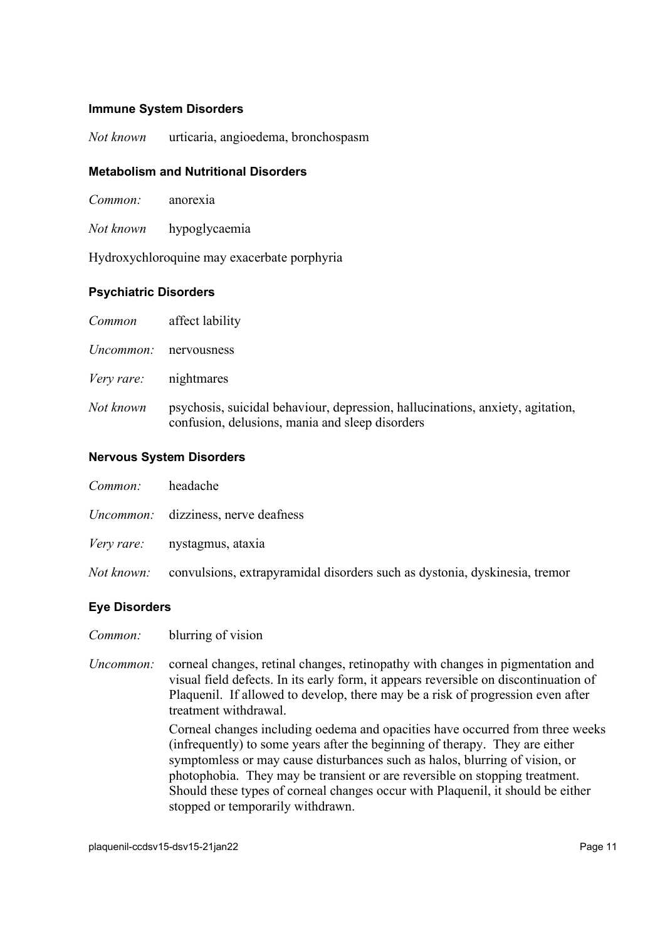### **Immune System Disorders**

*Not known* urticaria, angioedema, bronchospasm

### **Metabolism and Nutritional Disorders**

| Common: | anorexia |
|---------|----------|

*Not known* hypoglycaemia

Hydroxychloroquine may exacerbate porphyria

#### **Psychiatric Disorders**

| Common     | affect lability                                                                                                                   |
|------------|-----------------------------------------------------------------------------------------------------------------------------------|
| Uncommon:  | nervousness                                                                                                                       |
| Very rare: | nightmares                                                                                                                        |
| Not known  | psychosis, suicidal behaviour, depression, hallucinations, anxiety, agitation,<br>confusion, delusions, mania and sleep disorders |

#### **Nervous System Disorders**

| headache                                                                                     |
|----------------------------------------------------------------------------------------------|
| <i>Uncommon:</i> dizziness, nerve deafness                                                   |
| <i>Very rare:</i> nystagmus, ataxia                                                          |
| <i>Not known:</i> convulsions, extrapyramidal disorders such as dystonia, dyskinesia, tremor |
|                                                                                              |

### **Eye Disorders**

*Common:* blurring of vision

*Uncommon:* corneal changes, retinal changes, retinopathy with changes in pigmentation and visual field defects. In its early form, it appears reversible on discontinuation of Plaquenil. If allowed to develop, there may be a risk of progression even after treatment withdrawal.

Corneal changes including oedema and opacities have occurred from three weeks (infrequently) to some years after the beginning of therapy. They are either symptomless or may cause disturbances such as halos, blurring of vision, or photophobia. They may be transient or are reversible on stopping treatment. Should these types of corneal changes occur with Plaquenil, it should be either stopped or temporarily withdrawn.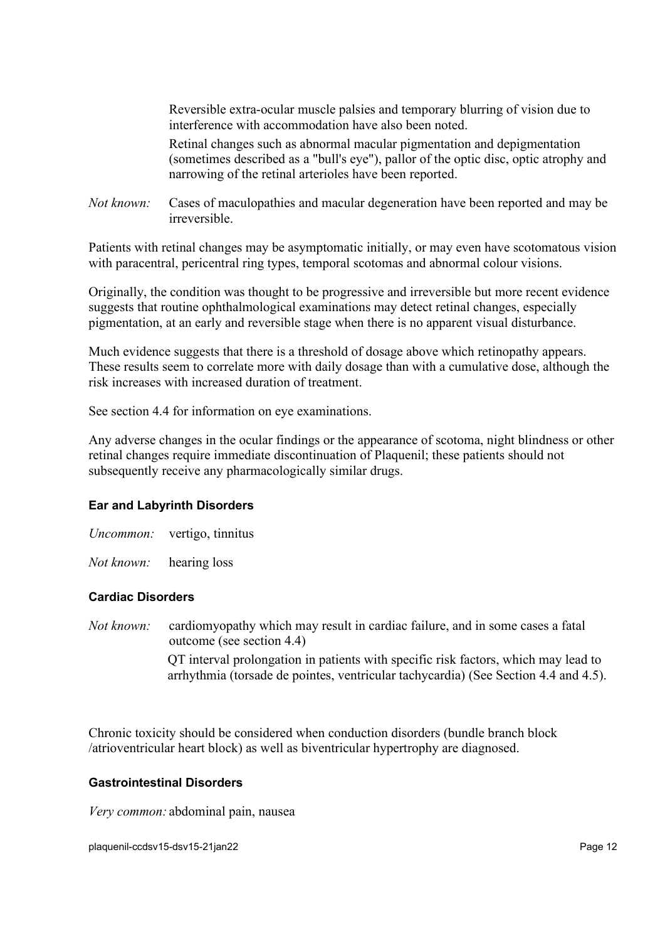Reversible extra-ocular muscle palsies and temporary blurring of vision due to interference with accommodation have also been noted.

Retinal changes such as abnormal macular pigmentation and depigmentation (sometimes described as a "bull's eye"), pallor of the optic disc, optic atrophy and narrowing of the retinal arterioles have been reported.

*Not known:* Cases of maculopathies and macular degeneration have been reported and may be irreversible.

Patients with retinal changes may be asymptomatic initially, or may even have scotomatous vision with paracentral, pericentral ring types, temporal scotomas and abnormal colour visions.

Originally, the condition was thought to be progressive and irreversible but more recent evidence suggests that routine ophthalmological examinations may detect retinal changes, especially pigmentation, at an early and reversible stage when there is no apparent visual disturbance.

Much evidence suggests that there is a threshold of dosage above which retinopathy appears. These results seem to correlate more with daily dosage than with a cumulative dose, although the risk increases with increased duration of treatment.

See section 4.4 for information on eye examinations.

Any adverse changes in the ocular findings or the appearance of scotoma, night blindness or other retinal changes require immediate discontinuation of Plaquenil; these patients should not subsequently receive any pharmacologically similar drugs.

### **Ear and Labyrinth Disorders**

*Uncommon:* vertigo, tinnitus

*Not known:* hearing loss

#### **Cardiac Disorders**

*Not known:* cardiomyopathy which may result in cardiac failure, and in some cases a fatal outcome (see section 4.4) QT interval prolongation in patients with specific risk factors, which may lead to

arrhythmia (torsade de pointes, ventricular tachycardia) (See Section 4.4 and 4.5).

Chronic toxicity should be considered when conduction disorders (bundle branch block /atrioventricular heart block) as well as biventricular hypertrophy are diagnosed.

### **Gastrointestinal Disorders**

*Very common:* abdominal pain, nausea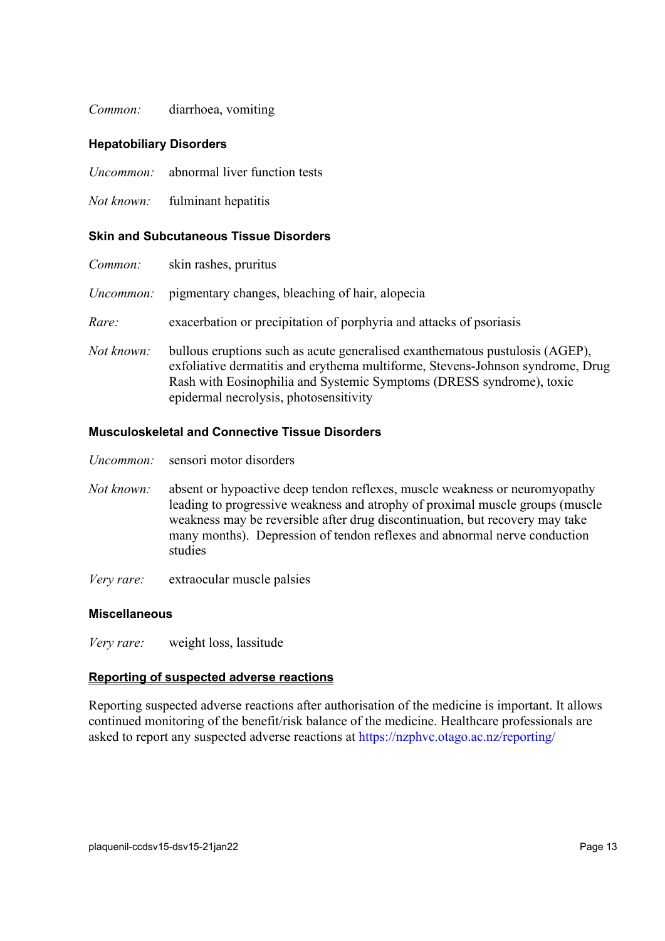### *Common:* diarrhoea, vomiting

#### **Hepatobiliary Disorders**

- *Uncommon:* abnormal liver function tests
- *Not known:* fulminant hepatitis

#### **Skin and Subcutaneous Tissue Disorders**

| Common:    | skin rashes, pruritus                                                                                                                                                                                                                                                            |  |
|------------|----------------------------------------------------------------------------------------------------------------------------------------------------------------------------------------------------------------------------------------------------------------------------------|--|
| Uncommon:  | pigmentary changes, bleaching of hair, alopecia                                                                                                                                                                                                                                  |  |
| Rare:      | exacerbation or precipitation of porphyria and attacks of psoriasis                                                                                                                                                                                                              |  |
| Not known: | bullous eruptions such as acute generalised exanthematous pustulosis (AGEP),<br>exfoliative dermatitis and erythema multiforme, Stevens-Johnson syndrome, Drug<br>Rash with Eosinophilia and Systemic Symptoms (DRESS syndrome), toxic<br>epidermal necrolysis, photosensitivity |  |

### **Musculoskeletal and Connective Tissue Disorders**

- *Uncommon:* sensori motor disorders
- *Not known:* absent or hypoactive deep tendon reflexes, muscle weakness or neuromyopathy leading to progressive weakness and atrophy of proximal muscle groups (muscle weakness may be reversible after drug discontinuation, but recovery may take many months). Depression of tendon reflexes and abnormal nerve conduction studies
- *Very rare:* extraocular muscle palsies

#### **Miscellaneous**

*Very rare:* weight loss, lassitude

### **Reporting of suspected adverse reactions**

Reporting suspected adverse reactions after authorisation of the medicine is important. It allows continued monitoring of the benefit/risk balance of the medicine. Healthcare professionals are asked to report any suspected adverse reactions at <https://nzphvc.otago.ac.nz/reporting/>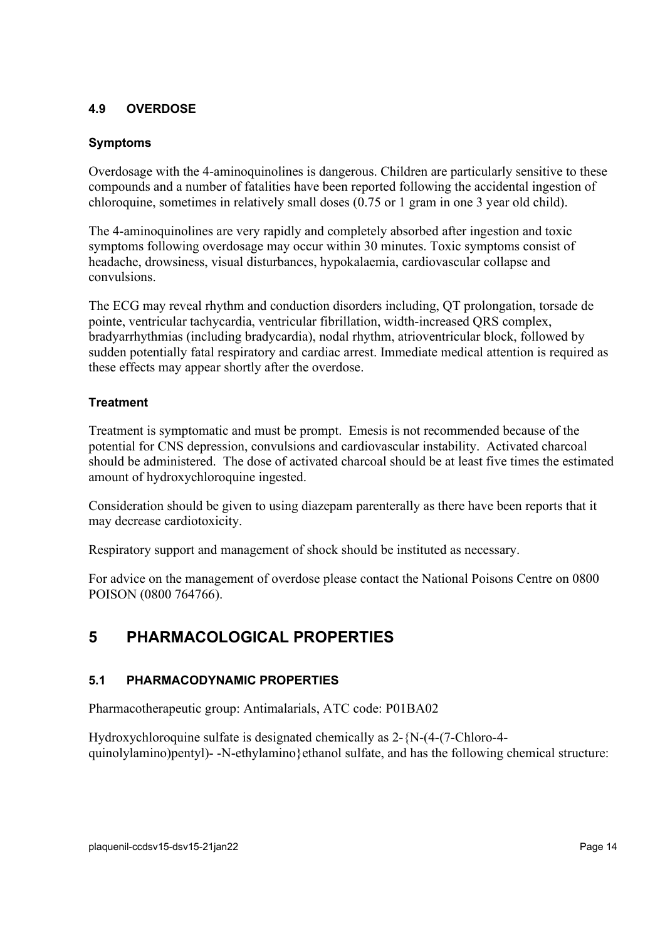# **4.9 OVERDOSE**

### **Symptoms**

Overdosage with the 4-aminoquinolines is dangerous. Children are particularly sensitive to these compounds and a number of fatalities have been reported following the accidental ingestion of chloroquine, sometimes in relatively small doses (0.75 or 1 gram in one 3 year old child).

The 4-aminoquinolines are very rapidly and completely absorbed after ingestion and toxic symptoms following overdosage may occur within 30 minutes. Toxic symptoms consist of headache, drowsiness, visual disturbances, hypokalaemia, cardiovascular collapse and convulsions.

The ECG may reveal rhythm and conduction disorders including, QT prolongation, torsade de pointe, ventricular tachycardia, ventricular fibrillation, width-increased QRS complex, bradyarrhythmias (including bradycardia), nodal rhythm, atrioventricular block, followed by sudden potentially fatal respiratory and cardiac arrest. Immediate medical attention is required as these effects may appear shortly after the overdose.

# **Treatment**

Treatment is symptomatic and must be prompt. Emesis is not recommended because of the potential for CNS depression, convulsions and cardiovascular instability. Activated charcoal should be administered. The dose of activated charcoal should be at least five times the estimated amount of hydroxychloroquine ingested.

Consideration should be given to using diazepam parenterally as there have been reports that it may decrease cardiotoxicity.

Respiratory support and management of shock should be instituted as necessary.

For advice on the management of overdose please contact the National Poisons Centre on 0800 POISON (0800 764766).

# **5 PHARMACOLOGICAL PROPERTIES**

# **5.1 PHARMACODYNAMIC PROPERTIES**

Pharmacotherapeutic group: Antimalarials, ATC code: P01BA02

Hydroxychloroquine sulfate is designated chemically as 2-{N-(4-(7-Chloro-4 quinolylamino)pentyl)- -N-ethylamino}ethanol sulfate, and has the following chemical structure: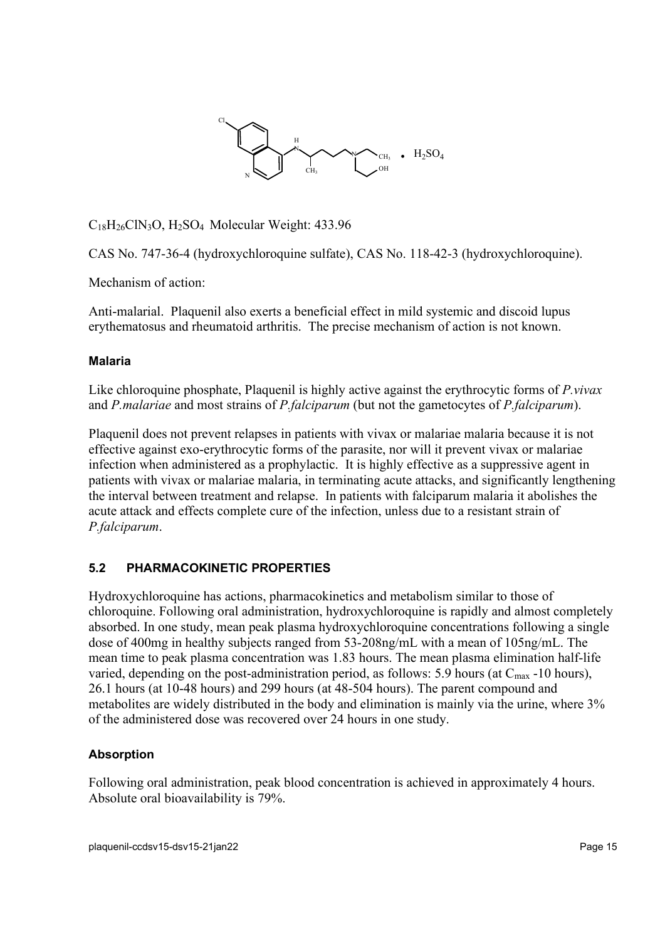

C18H26ClN3O, H2SO4 Molecular Weight: 433.96

CAS No. 747-36-4 (hydroxychloroquine sulfate), CAS No. 118-42-3 (hydroxychloroquine).

Mechanism of action:

Anti-malarial. Plaquenil also exerts a beneficial effect in mild systemic and discoid lupus erythematosus and rheumatoid arthritis. The precise mechanism of action is not known.

### **Malaria**

Like chloroquine phosphate, Plaquenil is highly active against the erythrocytic forms of *P.vivax* and *P.malariae* and most strains of *P.falciparum* (but not the gametocytes of *P.falciparum*).

Plaquenil does not prevent relapses in patients with vivax or malariae malaria because it is not effective against exo-erythrocytic forms of the parasite, nor will it prevent vivax or malariae infection when administered as a prophylactic. It is highly effective as a suppressive agent in patients with vivax or malariae malaria, in terminating acute attacks, and significantly lengthening the interval between treatment and relapse. In patients with falciparum malaria it abolishes the acute attack and effects complete cure of the infection, unless due to a resistant strain of *P.falciparum*.

### **5.2 PHARMACOKINETIC PROPERTIES**

Hydroxychloroquine has actions, pharmacokinetics and metabolism similar to those of chloroquine. Following oral administration, hydroxychloroquine is rapidly and almost completely absorbed. In one study, mean peak plasma hydroxychloroquine concentrations following a single dose of 400mg in healthy subjects ranged from 53-208ng/mL with a mean of 105ng/mL. The mean time to peak plasma concentration was 1.83 hours. The mean plasma elimination half-life varied, depending on the post-administration period, as follows: 5.9 hours (at  $C_{\text{max}}$  -10 hours), 26.1 hours (at 10-48 hours) and 299 hours (at 48-504 hours). The parent compound and metabolites are widely distributed in the body and elimination is mainly via the urine, where 3% of the administered dose was recovered over 24 hours in one study.

### **Absorption**

Following oral administration, peak blood concentration is achieved in approximately 4 hours. Absolute oral bioavailability is 79%.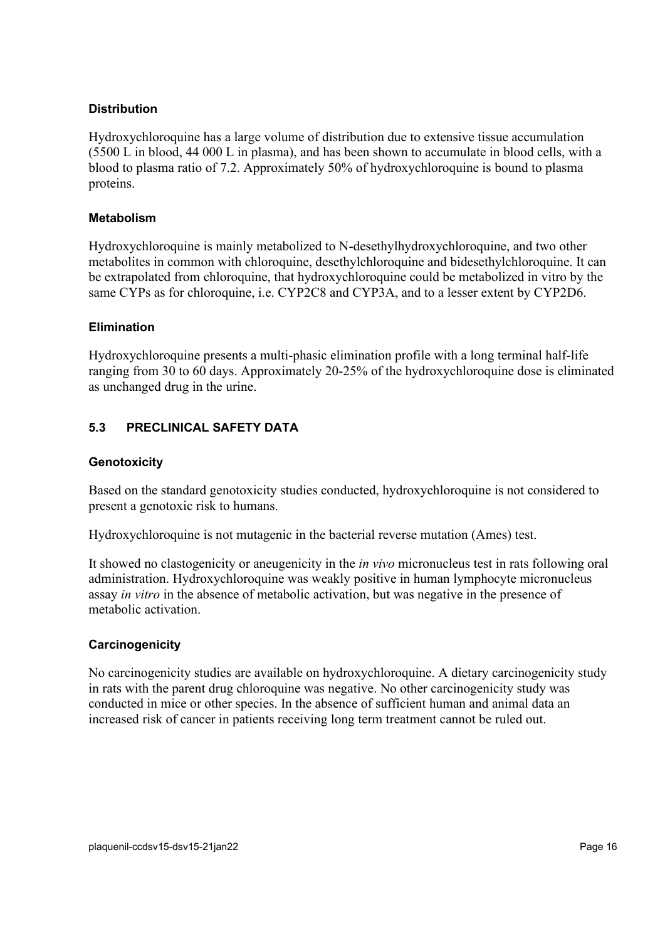### **Distribution**

Hydroxychloroquine has a large volume of distribution due to extensive tissue accumulation (5500 L in blood, 44 000 L in plasma), and has been shown to accumulate in blood cells, with a blood to plasma ratio of 7.2. Approximately 50% of hydroxychloroquine is bound to plasma proteins.

### **Metabolism**

Hydroxychloroquine is mainly metabolized to N-desethylhydroxychloroquine, and two other metabolites in common with chloroquine, desethylchloroquine and bidesethylchloroquine. It can be extrapolated from chloroquine, that hydroxychloroquine could be metabolized in vitro by the same CYPs as for chloroquine, i.e. CYP2C8 and CYP3A, and to a lesser extent by CYP2D6.

### **Elimination**

Hydroxychloroquine presents a multi-phasic elimination profile with a long terminal half-life ranging from 30 to 60 days. Approximately 20-25% of the hydroxychloroquine dose is eliminated as unchanged drug in the urine.

# **5.3 PRECLINICAL SAFETY DATA**

### **Genotoxicity**

Based on the standard genotoxicity studies conducted, hydroxychloroquine is not considered to present a genotoxic risk to humans.

Hydroxychloroquine is not mutagenic in the bacterial reverse mutation (Ames) test.

It showed no clastogenicity or aneugenicity in the *in vivo* micronucleus test in rats following oral administration. Hydroxychloroquine was weakly positive in human lymphocyte micronucleus assay *in vitro* in the absence of metabolic activation, but was negative in the presence of metabolic activation.

### **Carcinogenicity**

No carcinogenicity studies are available on hydroxychloroquine. A dietary carcinogenicity study in rats with the parent drug chloroquine was negative. No other carcinogenicity study was conducted in mice or other species. In the absence of sufficient human and animal data an increased risk of cancer in patients receiving long term treatment cannot be ruled out.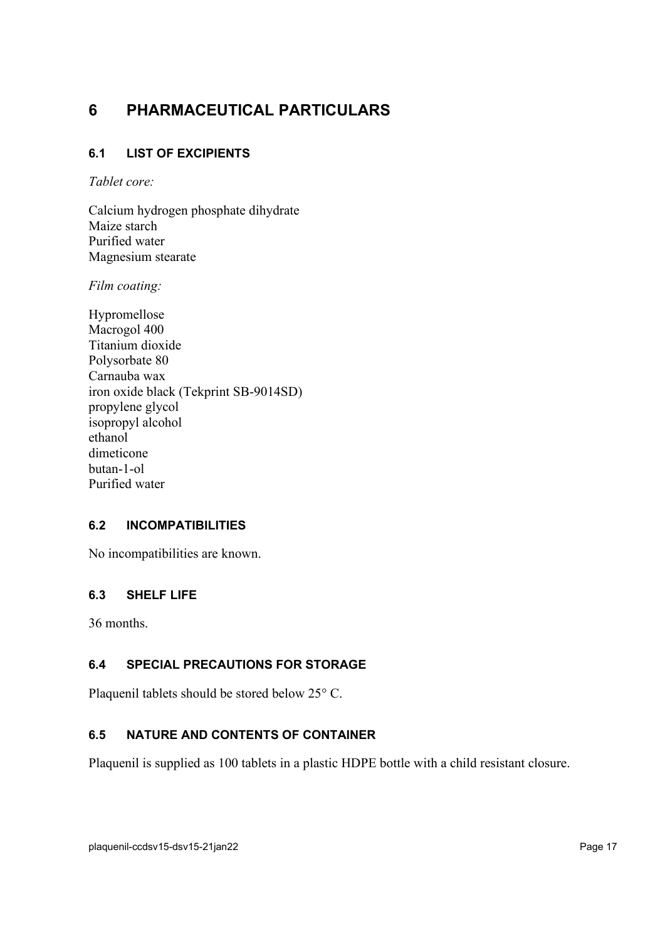# **6 PHARMACEUTICAL PARTICULARS**

# **6.1 LIST OF EXCIPIENTS**

*Tablet core:*

Calcium hydrogen phosphate dihydrate Maize starch Purified water Magnesium stearate

*Film coating:*

Hypromellose Macrogol 400 Titanium dioxide Polysorbate 80 Carnauba wax iron oxide black (Tekprint SB-9014SD) propylene glycol isopropyl alcohol ethanol dimeticone butan-1-ol Purified water

# **6.2 INCOMPATIBILITIES**

No incompatibilities are known.

# **6.3 SHELF LIFE**

36 months.

# **6.4 SPECIAL PRECAUTIONS FOR STORAGE**

Plaquenil tablets should be stored below 25° C.

# **6.5 NATURE AND CONTENTS OF CONTAINER**

Plaquenil is supplied as 100 tablets in a plastic HDPE bottle with a child resistant closure.